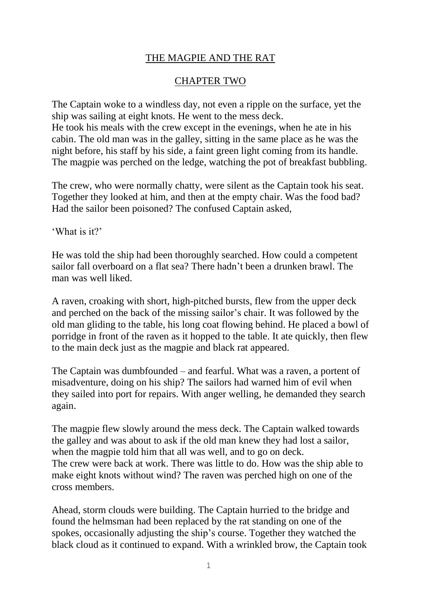## THE MAGPIE AND THE RAT

## CHAPTER TWO

The Captain woke to a windless day, not even a ripple on the surface, yet the ship was sailing at eight knots. He went to the mess deck. He took his meals with the crew except in the evenings, when he ate in his cabin. The old man was in the galley, sitting in the same place as he was the night before, his staff by his side, a faint green light coming from its handle. The magpie was perched on the ledge, watching the pot of breakfast bubbling.

The crew, who were normally chatty, were silent as the Captain took his seat. Together they looked at him, and then at the empty chair. Was the food bad? Had the sailor been poisoned? The confused Captain asked,

'What is it?'

He was told the ship had been thoroughly searched. How could a competent sailor fall overboard on a flat sea? There hadn't been a drunken brawl. The man was well liked.

A raven, croaking with short, high-pitched bursts, flew from the upper deck and perched on the back of the missing sailor's chair. It was followed by the old man gliding to the table, his long coat flowing behind. He placed a bowl of porridge in front of the raven as it hopped to the table. It ate quickly, then flew to the main deck just as the magpie and black rat appeared.

The Captain was dumbfounded – and fearful. What was a raven, a portent of misadventure, doing on his ship? The sailors had warned him of evil when they sailed into port for repairs. With anger welling, he demanded they search again.

The magpie flew slowly around the mess deck. The Captain walked towards the galley and was about to ask if the old man knew they had lost a sailor, when the magpie told him that all was well, and to go on deck. The crew were back at work. There was little to do. How was the ship able to make eight knots without wind? The raven was perched high on one of the cross members.

Ahead, storm clouds were building. The Captain hurried to the bridge and found the helmsman had been replaced by the rat standing on one of the spokes, occasionally adjusting the ship's course. Together they watched the black cloud as it continued to expand. With a wrinkled brow, the Captain took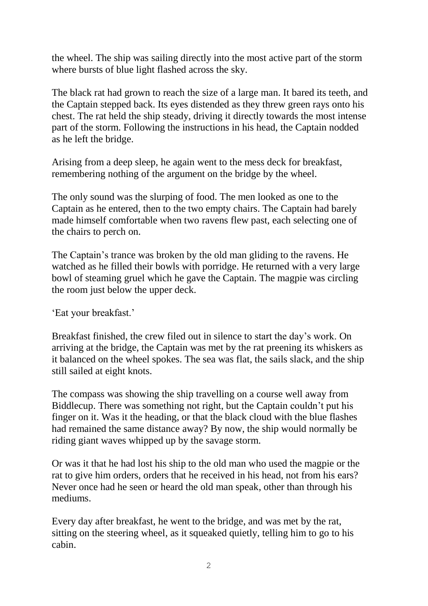the wheel. The ship was sailing directly into the most active part of the storm where bursts of blue light flashed across the sky.

The black rat had grown to reach the size of a large man. It bared its teeth, and the Captain stepped back. Its eyes distended as they threw green rays onto his chest. The rat held the ship steady, driving it directly towards the most intense part of the storm. Following the instructions in his head, the Captain nodded as he left the bridge.

Arising from a deep sleep, he again went to the mess deck for breakfast, remembering nothing of the argument on the bridge by the wheel.

The only sound was the slurping of food. The men looked as one to the Captain as he entered, then to the two empty chairs. The Captain had barely made himself comfortable when two ravens flew past, each selecting one of the chairs to perch on.

The Captain's trance was broken by the old man gliding to the ravens. He watched as he filled their bowls with porridge. He returned with a very large bowl of steaming gruel which he gave the Captain. The magpie was circling the room just below the upper deck.

'Eat your breakfast.'

Breakfast finished, the crew filed out in silence to start the day's work. On arriving at the bridge, the Captain was met by the rat preening its whiskers as it balanced on the wheel spokes. The sea was flat, the sails slack, and the ship still sailed at eight knots.

The compass was showing the ship travelling on a course well away from Biddlecup. There was something not right, but the Captain couldn't put his finger on it. Was it the heading, or that the black cloud with the blue flashes had remained the same distance away? By now, the ship would normally be riding giant waves whipped up by the savage storm.

Or was it that he had lost his ship to the old man who used the magpie or the rat to give him orders, orders that he received in his head, not from his ears? Never once had he seen or heard the old man speak, other than through his mediums.

Every day after breakfast, he went to the bridge, and was met by the rat, sitting on the steering wheel, as it squeaked quietly, telling him to go to his cabin.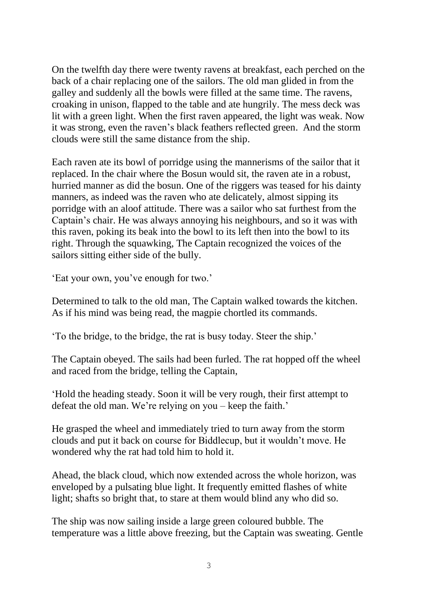On the twelfth day there were twenty ravens at breakfast, each perched on the back of a chair replacing one of the sailors. The old man glided in from the galley and suddenly all the bowls were filled at the same time. The ravens, croaking in unison, flapped to the table and ate hungrily. The mess deck was lit with a green light. When the first raven appeared, the light was weak. Now it was strong, even the raven's black feathers reflected green. And the storm clouds were still the same distance from the ship.

Each raven ate its bowl of porridge using the mannerisms of the sailor that it replaced. In the chair where the Bosun would sit, the raven ate in a robust, hurried manner as did the bosun. One of the riggers was teased for his dainty manners, as indeed was the raven who ate delicately, almost sipping its porridge with an aloof attitude. There was a sailor who sat furthest from the Captain's chair. He was always annoying his neighbours, and so it was with this raven, poking its beak into the bowl to its left then into the bowl to its right. Through the squawking, The Captain recognized the voices of the sailors sitting either side of the bully.

'Eat your own, you've enough for two.'

Determined to talk to the old man, The Captain walked towards the kitchen. As if his mind was being read, the magpie chortled its commands.

'To the bridge, to the bridge, the rat is busy today. Steer the ship.'

The Captain obeyed. The sails had been furled. The rat hopped off the wheel and raced from the bridge, telling the Captain,

'Hold the heading steady. Soon it will be very rough, their first attempt to defeat the old man. We're relying on you – keep the faith.'

He grasped the wheel and immediately tried to turn away from the storm clouds and put it back on course for Biddlecup, but it wouldn't move. He wondered why the rat had told him to hold it.

Ahead, the black cloud, which now extended across the whole horizon, was enveloped by a pulsating blue light. It frequently emitted flashes of white light; shafts so bright that, to stare at them would blind any who did so.

The ship was now sailing inside a large green coloured bubble. The temperature was a little above freezing, but the Captain was sweating. Gentle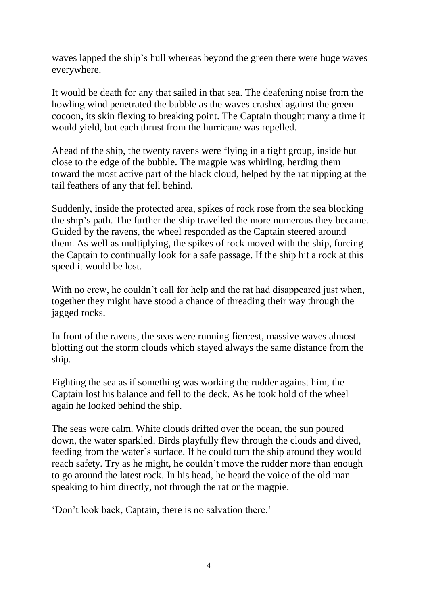waves lapped the ship's hull whereas beyond the green there were huge waves everywhere.

It would be death for any that sailed in that sea. The deafening noise from the howling wind penetrated the bubble as the waves crashed against the green cocoon, its skin flexing to breaking point. The Captain thought many a time it would yield, but each thrust from the hurricane was repelled.

Ahead of the ship, the twenty ravens were flying in a tight group, inside but close to the edge of the bubble. The magpie was whirling, herding them toward the most active part of the black cloud, helped by the rat nipping at the tail feathers of any that fell behind.

Suddenly, inside the protected area, spikes of rock rose from the sea blocking the ship's path. The further the ship travelled the more numerous they became. Guided by the ravens, the wheel responded as the Captain steered around them. As well as multiplying, the spikes of rock moved with the ship, forcing the Captain to continually look for a safe passage. If the ship hit a rock at this speed it would be lost.

With no crew, he couldn't call for help and the rat had disappeared just when, together they might have stood a chance of threading their way through the jagged rocks.

In front of the ravens, the seas were running fiercest, massive waves almost blotting out the storm clouds which stayed always the same distance from the ship.

Fighting the sea as if something was working the rudder against him, the Captain lost his balance and fell to the deck. As he took hold of the wheel again he looked behind the ship.

The seas were calm. White clouds drifted over the ocean, the sun poured down, the water sparkled. Birds playfully flew through the clouds and dived, feeding from the water's surface. If he could turn the ship around they would reach safety. Try as he might, he couldn't move the rudder more than enough to go around the latest rock. In his head, he heard the voice of the old man speaking to him directly, not through the rat or the magpie.

'Don't look back, Captain, there is no salvation there.'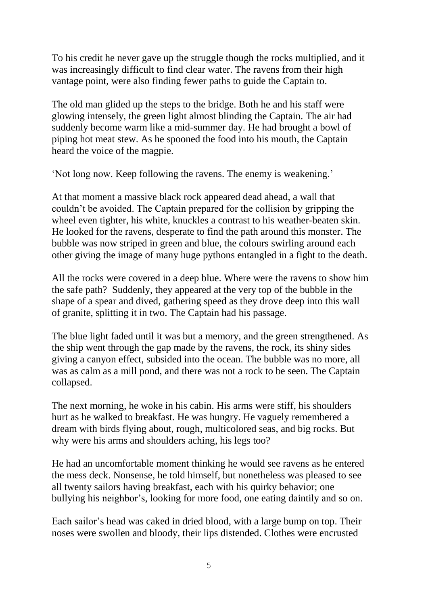To his credit he never gave up the struggle though the rocks multiplied, and it was increasingly difficult to find clear water. The ravens from their high vantage point, were also finding fewer paths to guide the Captain to.

The old man glided up the steps to the bridge. Both he and his staff were glowing intensely, the green light almost blinding the Captain. The air had suddenly become warm like a mid-summer day. He had brought a bowl of piping hot meat stew. As he spooned the food into his mouth, the Captain heard the voice of the magpie.

'Not long now. Keep following the ravens. The enemy is weakening.'

At that moment a massive black rock appeared dead ahead, a wall that couldn't be avoided. The Captain prepared for the collision by gripping the wheel even tighter, his white, knuckles a contrast to his weather-beaten skin. He looked for the ravens, desperate to find the path around this monster. The bubble was now striped in green and blue, the colours swirling around each other giving the image of many huge pythons entangled in a fight to the death.

All the rocks were covered in a deep blue. Where were the ravens to show him the safe path? Suddenly, they appeared at the very top of the bubble in the shape of a spear and dived, gathering speed as they drove deep into this wall of granite, splitting it in two. The Captain had his passage.

The blue light faded until it was but a memory, and the green strengthened. As the ship went through the gap made by the ravens, the rock, its shiny sides giving a canyon effect, subsided into the ocean. The bubble was no more, all was as calm as a mill pond, and there was not a rock to be seen. The Captain collapsed.

The next morning, he woke in his cabin. His arms were stiff, his shoulders hurt as he walked to breakfast. He was hungry. He vaguely remembered a dream with birds flying about, rough, multicolored seas, and big rocks. But why were his arms and shoulders aching, his legs too?

He had an uncomfortable moment thinking he would see ravens as he entered the mess deck. Nonsense, he told himself, but nonetheless was pleased to see all twenty sailors having breakfast, each with his quirky behavior; one bullying his neighbor's, looking for more food, one eating daintily and so on.

Each sailor's head was caked in dried blood, with a large bump on top. Their noses were swollen and bloody, their lips distended. Clothes were encrusted